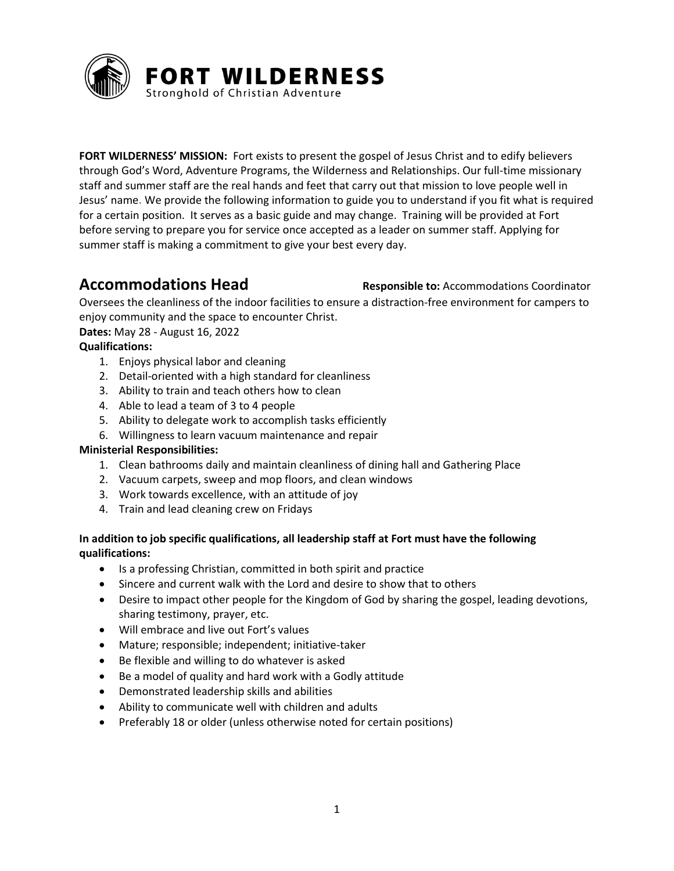

**FORT WILDERNESS' MISSION:** Fort exists to present the gospel of Jesus Christ and to edify believers through God's Word, Adventure Programs, the Wilderness and Relationships. Our full-time missionary staff and summer staff are the real hands and feet that carry out that mission to love people well in Jesus' name**.** We provide the following information to guide you to understand if you fit what is required for a certain position. It serves as a basic guide and may change. Training will be provided at Fort before serving to prepare you for service once accepted as a leader on summer staff. Applying for summer staff is making a commitment to give your best every day.

**Accommodations Head Responsible to: Accommodations Coordinator** 

Oversees the cleanliness of the indoor facilities to ensure a distraction-free environment for campers to enjoy community and the space to encounter Christ.

**Dates:** May 28 - August 16, 2022

## **Qualifications:**

- 1. Enjoys physical labor and cleaning
- 2. Detail-oriented with a high standard for cleanliness
- 3. Ability to train and teach others how to clean
- 4. Able to lead a team of 3 to 4 people
- 5. Ability to delegate work to accomplish tasks efficiently
- 6. Willingness to learn vacuum maintenance and repair

## **Ministerial Responsibilities:**

- 1. Clean bathrooms daily and maintain cleanliness of dining hall and Gathering Place
- 2. Vacuum carpets, sweep and mop floors, and clean windows
- 3. Work towards excellence, with an attitude of joy
- 4. Train and lead cleaning crew on Fridays

## **In addition to job specific qualifications, all leadership staff at Fort must have the following qualifications:**

- Is a professing Christian, committed in both spirit and practice
- Sincere and current walk with the Lord and desire to show that to others
- Desire to impact other people for the Kingdom of God by sharing the gospel, leading devotions, sharing testimony, prayer, etc.
- Will embrace and live out Fort's values
- Mature; responsible; independent; initiative-taker
- Be flexible and willing to do whatever is asked
- Be a model of quality and hard work with a Godly attitude
- Demonstrated leadership skills and abilities
- Ability to communicate well with children and adults
- Preferably 18 or older (unless otherwise noted for certain positions)